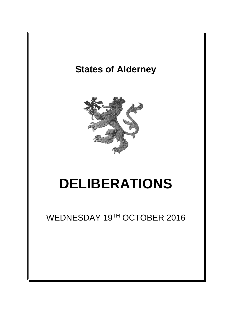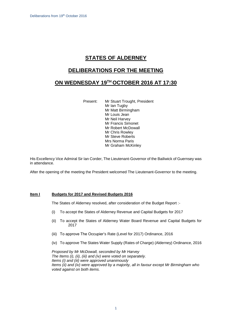# **STATES OF ALDERNEY**

### **DELIBERATIONS FOR THE MEETING**

## **ON WEDNESDAY 19 TH OCTOBER 2016 AT 17:30**

Present: Mr Stuart Trought, President

Mr Ian Tugby Mr Matt Birmingham Mr Louis Jean Mr Neil Harvey Mr Francis Simonet Mr Robert McDowall Mr Chris Rowley Mr Steve Roberts Mrs Norma Paris Mr Graham McKinley

His Excellency Vice Admiral Sir Ian Corder, The Lieutenant-Governor of the Bailiwick of Guernsey was in attendance.

After the opening of the meeting the President welcomed The Lieutenant-Governor to the meeting.

### **Item I Budgets for 2017 and Revised Budgets 2016**

The States of Alderney resolved, after consideration of the Budget Report :-

- (i) To accept the States of Alderney Revenue and Capital Budgets for 2017
- (ii) To accept the States of Alderney Water Board Revenue and Capital Budgets for 2017
- (iii) To approve The Occupier's Rate (Level for 2017) Ordinance, 2016
- (iv) To approve The States Water Supply (Rates of Charge) (Alderney) Ordinance, 2016

*Proposed by Mr McDowall, seconded by Mr Harvey The Items (i), (ii), (iii) and (iv) were voted on separately. Items (i) and (iii) were approved unanimously Items (ii) and (iv) were approved by a majority, all in favour except Mr Birmingham who voted against on both items.*